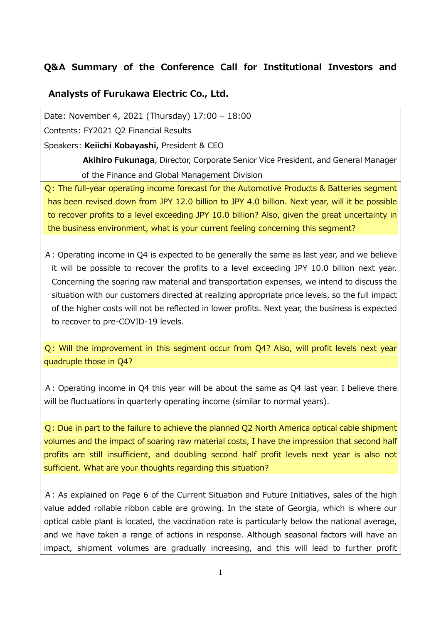## **Q&A Summary of the Conference Call for Institutional Investors and**

## **Analysts of Furukawa Electric Co., Ltd.**

Date: November 4, 2021 (Thursday) 17:00 – 18:00

Contents: FY2021 Q2 Financial Results

Speakers: **Keiichi Kobayashi,** President & CEO

**Akihiro Fukunaga**, Director, Corporate Senior Vice President, and General Manager of the Finance and Global Management Division

Q: The full-year operating income forecast for the Automotive Products & Batteries segment has been revised down from JPY 12.0 billion to JPY 4.0 billion. Next year, will it be possible to recover profits to a level exceeding JPY 10.0 billion? Also, given the great uncertainty in the business environment, what is your current feeling concerning this segment?

A: Operating income in Q4 is expected to be generally the same as last year, and we believe it will be possible to recover the profits to a level exceeding JPY 10.0 billion next year. Concerning the soaring raw material and transportation expenses, we intend to discuss the situation with our customers directed at realizing appropriate price levels, so the full impact of the higher costs will not be reflected in lower profits. Next year, the business is expected to recover to pre-COVID-19 levels.

Q: Will the improvement in this segment occur from Q4? Also, will profit levels next year quadruple those in Q4?

A: Operating income in Q4 this year will be about the same as Q4 last year. I believe there will be fluctuations in quarterly operating income (similar to normal years).

Q: Due in part to the failure to achieve the planned Q2 North America optical cable shipment volumes and the impact of soaring raw material costs, I have the impression that second half profits are still insufficient, and doubling second half profit levels next year is also not sufficient. What are your thoughts regarding this situation?

A: As explained on Page 6 of the Current Situation and Future Initiatives, sales of the high value added rollable ribbon cable are growing. In the state of Georgia, which is where our optical cable plant is located, the vaccination rate is particularly below the national average, and we have taken a range of actions in response. Although seasonal factors will have an impact, shipment volumes are gradually increasing, and this will lead to further profit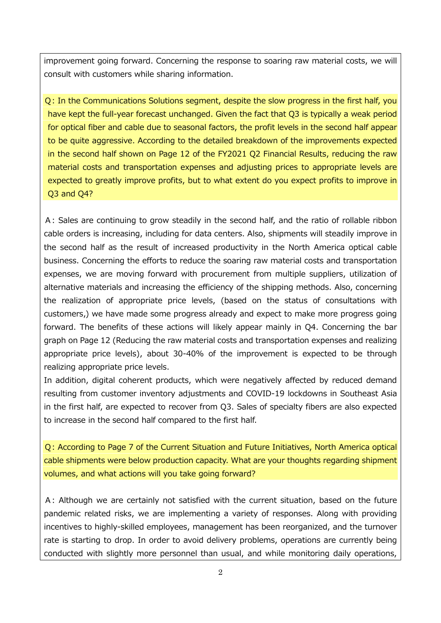improvement going forward. Concerning the response to soaring raw material costs, we will consult with customers while sharing information.

Q: In the Communications Solutions segment, despite the slow progress in the first half, you have kept the full-year forecast unchanged. Given the fact that Q3 is typically a weak period for optical fiber and cable due to seasonal factors, the profit levels in the second half appear to be quite aggressive. According to the detailed breakdown of the improvements expected in the second half shown on Page 12 of the FY2021 Q2 Financial Results, reducing the raw material costs and transportation expenses and adjusting prices to appropriate levels are expected to greatly improve profits, but to what extent do you expect profits to improve in Q3 and Q4?

A: Sales are continuing to grow steadily in the second half, and the ratio of rollable ribbon cable orders is increasing, including for data centers. Also, shipments will steadily improve in the second half as the result of increased productivity in the North America optical cable business. Concerning the efforts to reduce the soaring raw material costs and transportation expenses, we are moving forward with procurement from multiple suppliers, utilization of alternative materials and increasing the efficiency of the shipping methods. Also, concerning the realization of appropriate price levels, (based on the status of consultations with customers,) we have made some progress already and expect to make more progress going forward. The benefits of these actions will likely appear mainly in Q4. Concerning the bar graph on Page 12 (Reducing the raw material costs and transportation expenses and realizing appropriate price levels), about 30-40% of the improvement is expected to be through realizing appropriate price levels.

In addition, digital coherent products, which were negatively affected by reduced demand resulting from customer inventory adjustments and COVID-19 lockdowns in Southeast Asia in the first half, are expected to recover from Q3. Sales of specialty fibers are also expected to increase in the second half compared to the first half.

Q: According to Page 7 of the Current Situation and Future Initiatives, North America optical cable shipments were below production capacity. What are your thoughts regarding shipment volumes, and what actions will you take going forward?

A: Although we are certainly not satisfied with the current situation, based on the future pandemic related risks, we are implementing a variety of responses. Along with providing incentives to highly-skilled employees, management has been reorganized, and the turnover rate is starting to drop. In order to avoid delivery problems, operations are currently being conducted with slightly more personnel than usual, and while monitoring daily operations,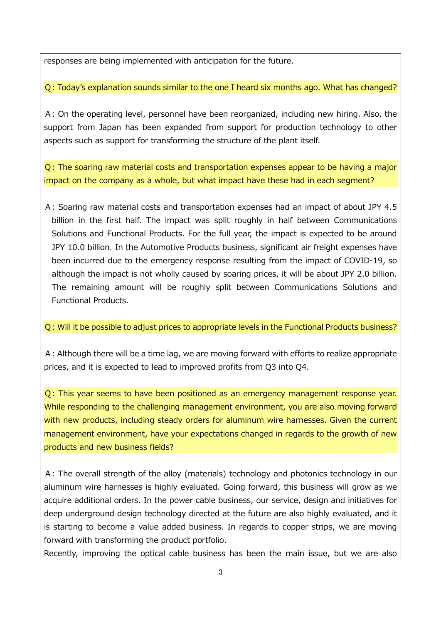responses are being implemented with anticipation for the future.

Q: Today's explanation sounds similar to the one I heard six months ago. What has changed?

A: On the operating level, personnel have been reorganized, including new hiring. Also, the support from Japan has been expanded from support for production technology to other aspects such as support for transforming the structure of the plant itself.

Q: The soaring raw material costs and transportation expenses appear to be having a major impact on the company as a whole, but what impact have these had in each segment?

A: Soaring raw material costs and transportation expenses had an impact of about JPY 4.5 billion in the first half. The impact was split roughly in half between Communications Solutions and Functional Products. For the full year, the impact is expected to be around JPY 10.0 billion. In the Automotive Products business, significant air freight expenses have been incurred due to the emergency response resulting from the impact of COVID-19, so although the impact is not wholly caused by soaring prices, it will be about JPY 2.0 billion. The remaining amount will be roughly split between Communications Solutions and Functional Products.

## Q: Will it be possible to adjust prices to appropriate levels in the Functional Products business?

A: Although there will be a time lag, we are moving forward with efforts to realize appropriate prices, and it is expected to lead to improved profits from Q3 into Q4.

Q: This year seems to have been positioned as an emergency management response year. While responding to the challenging management environment, you are also moving forward with new products, including steady orders for aluminum wire harnesses. Given the current management environment, have your expectations changed in regards to the growth of new products and new business fields?

A: The overall strength of the alloy (materials) technology and photonics technology in our aluminum wire harnesses is highly evaluated. Going forward, this business will grow as we acquire additional orders. In the power cable business, our service, design and initiatives for deep underground design technology directed at the future are also highly evaluated, and it is starting to become a value added business. In regards to copper strips, we are moving forward with transforming the product portfolio.

Recently, improving the optical cable business has been the main issue, but we are also